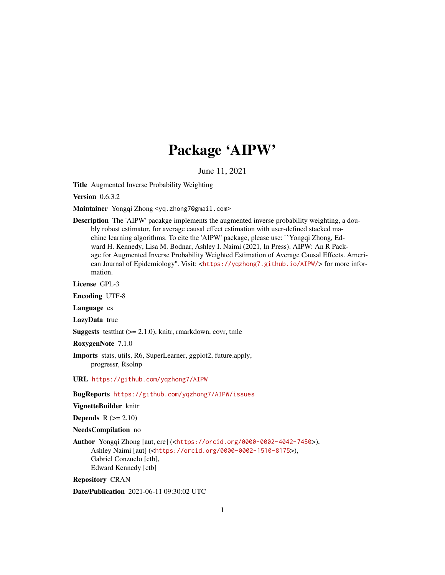## Package 'AIPW'

June 11, 2021

<span id="page-0-0"></span>Title Augmented Inverse Probability Weighting

Version 0.6.3.2

Maintainer Yongqi Zhong <yq.zhong7@gmail.com>

Description The 'AIPW' pacakge implements the augmented inverse probability weighting, a doubly robust estimator, for average causal effect estimation with user-defined stacked machine learning algorithms. To cite the 'AIPW' package, please use: ``Yongqi Zhong, Edward H. Kennedy, Lisa M. Bodnar, Ashley I. Naimi (2021, In Press). AIPW: An R Package for Augmented Inverse Probability Weighted Estimation of Average Causal Effects. American Journal of Epidemiology". Visit: <<https://yqzhong7.github.io/AIPW/>> for more information.

License GPL-3

Encoding UTF-8

Language es

LazyData true

**Suggests** test that  $(>= 2.1.0)$ , knitr, rmarkdown, covr, tmle

RoxygenNote 7.1.0

Imports stats, utils, R6, SuperLearner, ggplot2, future.apply, progressr, Rsolnp

URL <https://github.com/yqzhong7/AIPW>

BugReports <https://github.com/yqzhong7/AIPW/issues>

VignetteBuilder knitr

**Depends**  $R$  ( $>= 2.10$ )

```
NeedsCompilation no
```
Author Yongqi Zhong [aut, cre] (<<https://orcid.org/0000-0002-4042-7450>>), Ashley Naimi [aut] (<<https://orcid.org/0000-0002-1510-8175>>), Gabriel Conzuelo [ctb], Edward Kennedy [ctb]

Repository CRAN

Date/Publication 2021-06-11 09:30:02 UTC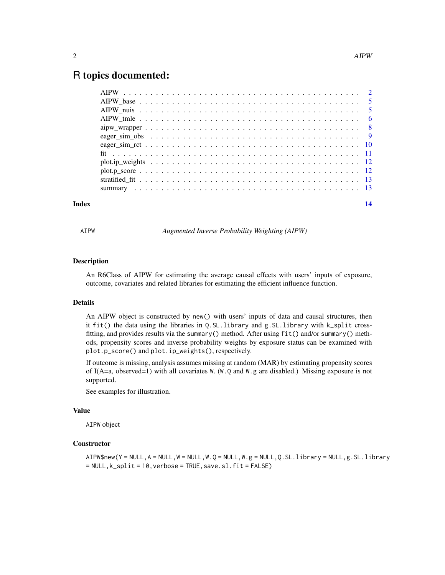### <span id="page-1-0"></span>R topics documented:

| Index | 14 |
|-------|----|

<span id="page-1-1"></span>

AIPW *Augmented Inverse Probability Weighting (AIPW)*

#### Description

An R6Class of AIPW for estimating the average causal effects with users' inputs of exposure, outcome, covariates and related libraries for estimating the efficient influence function.

#### Details

An AIPW object is constructed by new() with users' inputs of data and causal structures, then it fit() the data using the libraries in Q.SL.library and g.SL.library with k\_split crossfitting, and provides results via the summary() method. After using fit() and/or summary() methods, propensity scores and inverse probability weights by exposure status can be examined with plot.p\_score() and plot.ip\_weights(), respectively.

If outcome is missing, analysis assumes missing at random (MAR) by estimating propensity scores of I(A=a, observed=1) with all covariates W. (W.Q and W.g are disabled.) Missing exposure is not supported.

See examples for illustration.

#### Value

AIPW object

#### **Constructor**

```
AIPW$new(Y = NULL, A = NULL, W = NULL, W.Q = NULL, W.g = NULL, Q. SL. library = NULL, g. SL. library= NULL,k_split = 10,verbose = TRUE,save.sl.fit = FALSE)
```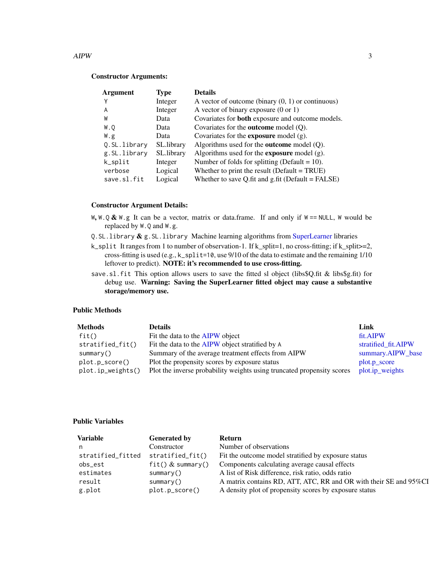#### <span id="page-2-0"></span> $APW$  3

#### Constructor Arguments:

| Argument     | Type       | <b>Details</b>                                          |
|--------------|------------|---------------------------------------------------------|
| γ            | Integer    | A vector of outcome (binary $(0, 1)$ ) or continuous)   |
| A            | Integer    | A vector of binary exposure $(0 \text{ or } 1)$         |
| W            | Data       | Covariates for <b>both</b> exposure and outcome models. |
| W.O          | Data       | Covariates for the <b>outcome</b> model $(Q)$ .         |
| W.g          | Data       | Covariates for the <b>exposure</b> model $(g)$ .        |
| 0.SL.library | SL.library | Algorithms used for the <b>outcome</b> model $(Q)$ .    |
| g.SL.library | SL.library | Algorithms used for the <b>exposure</b> model $(g)$ .   |
| k_split      | Integer    | Number of folds for splitting (Default = $10$ ).        |
| verbose      | Logical    | Whether to print the result (Default = $TRUE$ )         |
| save.sl.fit  | Logical    | Whether to save Q.fit and $g$ .fit (Default = FALSE)    |

#### Constructor Argument Details:

- W, W.Q & W.g It can be a vector, matrix or data.frame. If and only if  $W = NULL$ , W would be replaced by W.Q and W.g.
- Q.SL.library  $\&$  g.SL.library Machine learning algorithms from [SuperLearner](#page-0-0) libraries
- k\_split It ranges from 1 to number of observation-1. If k\_split=1, no cross-fitting; if k\_split>=2, cross-fitting is used (e.g., k\_split=10, use 9/10 of the data to estimate and the remaining 1/10 leftover to predict). NOTE: it's recommended to use cross-fitting.
- save.sl.fit This option allows users to save the fitted sl object (libs\$Q.fit & libs\$g.fit) for debug use. Warning: Saving the SuperLearner fitted object may cause a substantive storage/memory use.

#### Public Methods

| <b>Methods</b>    | <b>Details</b>                                                         | Link                |
|-------------------|------------------------------------------------------------------------|---------------------|
| fit()             | Fit the data to the AIPW object                                        | fit.AIPW            |
| stratified_fit()  | Fit the data to the AIPW object stratified by A                        | stratified fit.AIPW |
| summary()         | Summary of the average treatment effects from AIPW                     | summary.AIPW_base   |
| plot.p_score()    | Plot the propensity scores by exposure status                          | plot.p_score        |
| plot.ip_weights() | Plot the inverse probability weights using truncated propensity scores | plot.ip_weights     |

#### Public Variables

| <b>Variable</b>   | <b>Generated by</b> | <b>Return</b>                                                     |
|-------------------|---------------------|-------------------------------------------------------------------|
| n                 | Constructor         | Number of observations                                            |
| stratified_fitted | stratified_fit()    | Fit the outcome model stratified by exposure status               |
| obs_est           | $fit()$ & summary() | Components calculating average causal effects                     |
| estimates         | summarv()           | A list of Risk difference, risk ratio, odds ratio                 |
| result            | summarv()           | A matrix contains RD, ATT, ATC, RR and OR with their SE and 95%CI |
| g.plot            | plot.p_score()      | A density plot of propensity scores by exposure status            |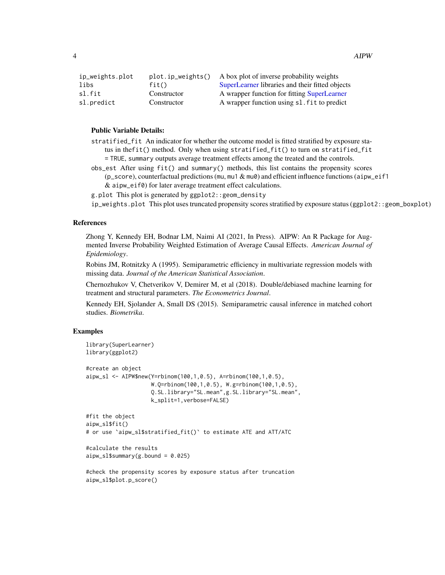<span id="page-3-0"></span>

| ip_weights.plot | plot.ip_weights() | A box plot of inverse probability weights       |
|-----------------|-------------------|-------------------------------------------------|
| libs            | fit()             | SuperLearner libraries and their fitted objects |
| sl.fit          | Constructor       | A wrapper function for fitting SuperLearner     |
| sl.predict      | Constructor       | A wrapper function using sl. fit to predict     |

#### Public Variable Details:

- stratified\_fit An indicator for whether the outcome model is fitted stratified by exposure status in thefit() method. Only when using stratified\_fit() to turn on stratified\_fit = TRUE, summary outputs average treatment effects among the treated and the controls.
- obs\_est After using fit() and summary() methods, this list contains the propensity scores  $(p\_score)$ , counterfactual predictions (mu, mu1 & mu0) and efficient influence functions (aipw\_eif1) & aipw\_eif0) for later average treatment effect calculations.
- g.plot This plot is generated by ggplot2::geom\_density
- ip\_weights.plot This plot uses truncated propensity scores stratified by exposure status (ggplot2::geom\_boxplot)

#### References

Zhong Y, Kennedy EH, Bodnar LM, Naimi AI (2021, In Press). AIPW: An R Package for Augmented Inverse Probability Weighted Estimation of Average Causal Effects. *American Journal of Epidemiology*.

Robins JM, Rotnitzky A (1995). Semiparametric efficiency in multivariate regression models with missing data. *Journal of the American Statistical Association*.

Chernozhukov V, Chetverikov V, Demirer M, et al (2018). Double/debiased machine learning for treatment and structural parameters. *The Econometrics Journal*.

Kennedy EH, Sjolander A, Small DS (2015). Semiparametric causal inference in matched cohort studies. *Biometrika*.

#### Examples

```
library(SuperLearner)
library(ggplot2)
#create an object
aipw_sl <- AIPW$new(Y=rbinom(100,1,0.5), A=rbinom(100,1,0.5),
                    W.Q=rbinom(100,1,0.5), W.g=rbinom(100,1,0.5),
                    Q.SL.library="SL.mean",g.SL.library="SL.mean",
                    k_split=1,verbose=FALSE)
#fit the object
aipw_sl$fit()
# or use `aipw_sl$stratified_fit()` to estimate ATE and ATT/ATC
#calculate the results
aipw_s1$summary(g.bound = 0.025)
```
#check the propensity scores by exposure status after truncation aipw\_sl\$plot.p\_score()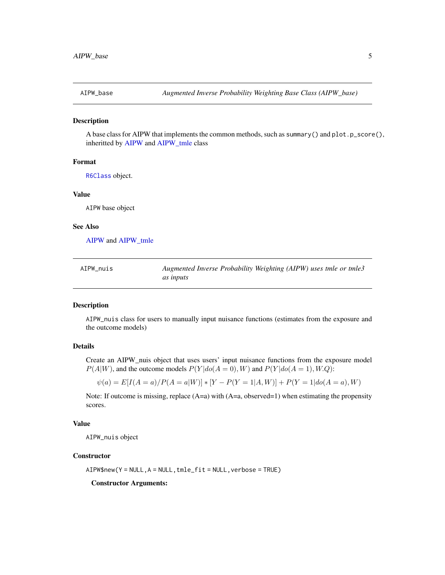<span id="page-4-0"></span>

#### Description

A base class for AIPW that implements the common methods, such as summary() and plot.p\_score(), inheritted by [AIPW](#page-1-1) and [AIPW\\_tmle](#page-5-1) class

#### Format

[R6Class](#page-0-0) object.

#### Value

AIPW base object

#### See Also

[AIPW](#page-1-1) and [AIPW\\_tmle](#page-5-1)

| AIPW nuis | Augmented Inverse Probability Weighting (AIPW) uses tmle or tmle3 |
|-----------|-------------------------------------------------------------------|
|           | <i>as inputs</i>                                                  |

#### Description

AIPW\_nuis class for users to manually input nuisance functions (estimates from the exposure and the outcome models)

#### Details

Create an AIPW\_nuis object that uses users' input nuisance functions from the exposure model  $P(A|W)$ , and the outcome models  $P(Y|do(A = 0), W)$  and  $P(Y|do(A = 1), W,Q)$ :

$$
\psi(a) = E[I(A = a)/P(A = a|W)] * [Y - P(Y = 1|A, W)] + P(Y = 1|do(A = a), W)
$$

Note: If outcome is missing, replace (A=a) with (A=a, observed=1) when estimating the propensity scores.

#### Value

AIPW\_nuis object

#### **Constructor**

AIPW\$new(Y = NULL,A = NULL,tmle\_fit = NULL,verbose = TRUE)

#### Constructor Arguments: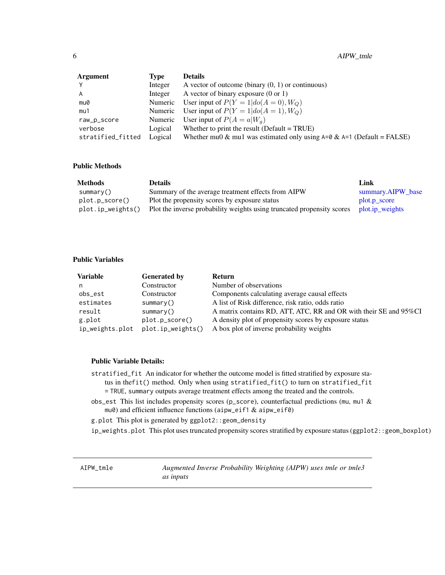<span id="page-5-0"></span>

| Argument          | Type    | <b>Details</b>                                                             |
|-------------------|---------|----------------------------------------------------------------------------|
| Y                 | Integer | A vector of outcome (binary $(0, 1)$ or continuous)                        |
| A                 | Integer | A vector of binary exposure $(0 \text{ or } 1)$                            |
| mu0               | Numeric | User input of $P(Y = 1 do(A = 0), W_Q)$                                    |
| mu1               |         | Numeric User input of $P(Y = 1   do(A = 1), W_O)$                          |
| raw_p_score       | Numeric | User input of $P(A = a W_a)$                                               |
| verbose           | Logical | Whether to print the result (Default $= TRUE$ )                            |
| stratified_fitted | Logical | Whether mu0 & mu1 was estimated only using $A=0$ & $A=1$ (Default = FALSE) |

#### Public Methods

| <b>Methods</b>    | <b>Details</b>                                                         | Link              |
|-------------------|------------------------------------------------------------------------|-------------------|
| summary()         | Summary of the average treatment effects from AIPW                     | summary.AIPW_base |
| plot.p_score()    | Plot the propensity scores by exposure status                          | plot.p score      |
| plot.ip_weights() | Plot the inverse probability weights using truncated propensity scores | plot.ip weights   |

#### Public Variables

| Variable        | <b>Generated by</b> | <b>Return</b>                                                     |
|-----------------|---------------------|-------------------------------------------------------------------|
| n.              | Constructor         | Number of observations                                            |
| obs_est         | Constructor         | Components calculating average causal effects                     |
| estimates       | summarv()           | A list of Risk difference, risk ratio, odds ratio                 |
| result          | summarv()           | A matrix contains RD, ATT, ATC, RR and OR with their SE and 95%CI |
| g.plot          | plot.p_score()      | A density plot of propensity scores by exposure status            |
| ip_weights.plot | plot.ip_weights()   | A box plot of inverse probability weights                         |

#### Public Variable Details:

stratified\_fit An indicator for whether the outcome model is fitted stratified by exposure status in thefit() method. Only when using stratified\_fit() to turn on stratified\_fit = TRUE, summary outputs average treatment effects among the treated and the controls.

- obs\_est This list includes propensity scores (p\_score), counterfactual predictions (mu, mu1 & mu0) and efficient influence functions (aipw\_eif1  $\&$  aipw\_eif0)
- g.plot This plot is generated by ggplot2::geom\_density
- ip\_weights.plot This plot uses truncated propensity scores stratified by exposure status (ggplot2::geom\_boxplot)

<span id="page-5-1"></span>AIPW\_tmle *Augmented Inverse Probability Weighting (AIPW) uses tmle or tmle3 as inputs*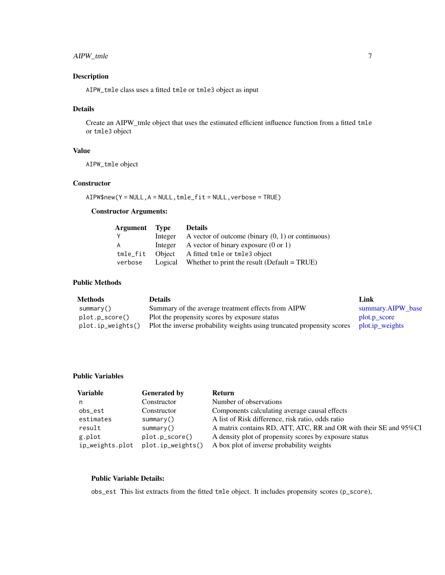#### <span id="page-6-0"></span>AIPW\_tmle 7

#### Description

AIPW\_tmle class uses a fitted tmle or tmle3 object as input

#### Details

Create an AIPW\_tmle object that uses the estimated efficient influence function from a fitted tmle or tmle3 object

#### Value

AIPW\_tmle object

#### **Constructor**

AIPW\$new(Y = NULL,A = NULL,tmle\_fit = NULL,verbose = TRUE)

#### Constructor Arguments:

| Argument Type |         | <b>Details</b>                                          |
|---------------|---------|---------------------------------------------------------|
| γ             | Integer | A vector of outcome (binary $(0, 1)$ or continuous)     |
| A             | Integer | A vector of binary exposure $(0 \text{ or } 1)$         |
| tmle fit      | Object  | A fitted tmle or tmle3 object                           |
| verbose       |         | Logical Whether to print the result (Default = $TRUE$ ) |

#### Public Methods

| <b>Methods</b>    | <b>Details</b>                                                         | Link              |
|-------------------|------------------------------------------------------------------------|-------------------|
| summary()         | Summary of the average treatment effects from AIPW                     | summary.AIPW_base |
| plot.p_score()    | Plot the propensity scores by exposure status                          | plot.p score      |
| plot.ip_weights() | Plot the inverse probability weights using truncated propensity scores | plot.ip weights   |

#### Public Variables

| Variable        | <b>Generated by</b> | <b>Return</b>                                                     |
|-----------------|---------------------|-------------------------------------------------------------------|
| n.              | Constructor         | Number of observations                                            |
| obs_est         | Constructor         | Components calculating average causal effects                     |
| estimates       | summarv()           | A list of Risk difference, risk ratio, odds ratio                 |
| result          | summarv()           | A matrix contains RD, ATT, ATC, RR and OR with their SE and 95%CI |
| g.plot          | plot.p_score()      | A density plot of propensity scores by exposure status            |
| ip_weights.plot | $plot.jp_weights()$ | A box plot of inverse probability weights                         |

#### Public Variable Details:

obs\_est This list extracts from the fitted tmle object. It includes propensity scores (p\_score),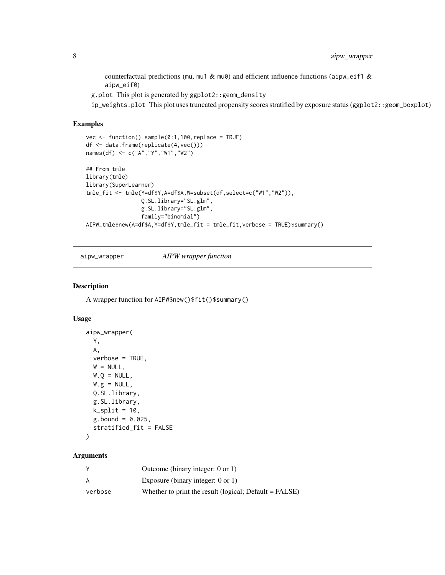<span id="page-7-0"></span>counterfactual predictions (mu, mu1  $\&$  mu0) and efficient influence functions (aipw\_eif1  $\&$ aipw\_eif0)

g.plot This plot is generated by ggplot2::geom\_density

ip\_weights.plot This plot uses truncated propensity scores stratified by exposure status (ggplot2::geom\_boxplot)

#### Examples

```
vec \leftarrow function() sample(0:1,100, replace = TRUE)df <- data.frame(replicate(4,vec()))
names(df) <- c("A","Y","W1","W2")
## From tmle
library(tmle)
library(SuperLearner)
tmle_fit <- tmle(Y=df$Y,A=df$A,W=subset(df,select=c("W1","W2")),
                 Q.SL.library="SL.glm",
                 g.SL.library="SL.glm",
                 family="binomial")
AIPW_tmle$new(A=df$A,Y=df$Y,tmle_fit = tmle_fit,verbose = TRUE)$summary()
```
aipw\_wrapper *AIPW wrapper function*

#### Description

A wrapper function for AIPW\$new()\$fit()\$summary()

#### Usage

```
aipw_wrapper(
 Y,
 A,
 verbose = TRUE,
 W = NULL,W.Q = NULL,W.g = NULL,Q.SL.library,
  g.SL.library,
 k_split = 10,
 g.bound = 0.025,
 stratified_fit = FALSE
)
```
#### Arguments

|         | Outcome (binary integer: $0$ or $1$ )                     |
|---------|-----------------------------------------------------------|
| А       | Exposure (binary integer: $0$ or $1$ )                    |
| verbose | Whether to print the result (logical; $Default = FALSE$ ) |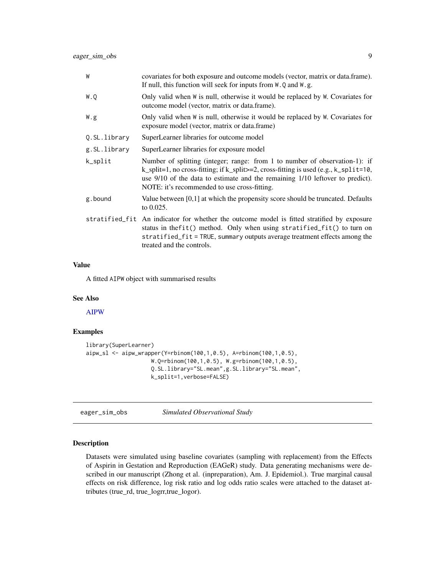<span id="page-8-0"></span>

| W            | covariates for both exposure and outcome models (vector, matrix or data.frame).<br>If null, this function will seek for inputs from $W$ . Q and $W$ . g.                                                                                                                                                      |  |
|--------------|---------------------------------------------------------------------------------------------------------------------------------------------------------------------------------------------------------------------------------------------------------------------------------------------------------------|--|
| W.Q          | Only valid when W is null, otherwise it would be replaced by W. Covariates for<br>outcome model (vector, matrix or data.frame).                                                                                                                                                                               |  |
| W.g          | Only valid when W is null, otherwise it would be replaced by W. Covariates for<br>exposure model (vector, matrix or data.frame)                                                                                                                                                                               |  |
| Q.SL.library | SuperLearner libraries for outcome model                                                                                                                                                                                                                                                                      |  |
| g.SL.library | SuperLearner libraries for exposure model                                                                                                                                                                                                                                                                     |  |
| k_split      | Number of splitting (integer; range: from 1 to number of observation-1): if<br>$k$ _split=1, no cross-fitting; if $k$ _split>=2, cross-fitting is used (e.g., $k$ _split=10,<br>use 9/10 of the data to estimate and the remaining 1/10 leftover to predict).<br>NOTE: it's recommended to use cross-fitting. |  |
| g.bound      | Value between $[0,1]$ at which the propensity score should be truncated. Defaults<br>to $0.025$ .                                                                                                                                                                                                             |  |
|              | stratified fit An indicator for whether the outcome model is fitted stratified by exposure<br>status in the fit() method. Only when using stratified_fit() to turn on<br>stratified_fit = TRUE, summary outputs average treatment effects among the<br>treated and the controls.                              |  |

#### Value

A fitted AIPW object with summarised results

#### See Also

[AIPW](#page-1-1)

#### Examples

```
library(SuperLearner)
aipw_sl <- aipw_wrapper(Y=rbinom(100,1,0.5), A=rbinom(100,1,0.5),
                    W.Q=rbinom(100,1,0.5), W.g=rbinom(100,1,0.5),
                    Q.SL.library="SL.mean",g.SL.library="SL.mean",
                    k_split=1,verbose=FALSE)
```
<span id="page-8-1"></span>eager\_sim\_obs *Simulated Observational Study*

#### Description

Datasets were simulated using baseline covariates (sampling with replacement) from the Effects of Aspirin in Gestation and Reproduction (EAGeR) study. Data generating mechanisms were described in our manuscript (Zhong et al. (inpreparation), Am. J. Epidemiol.). True marginal causal effects on risk difference, log risk ratio and log odds ratio scales were attached to the dataset attributes (true\_rd, true\_logrr,true\_logor).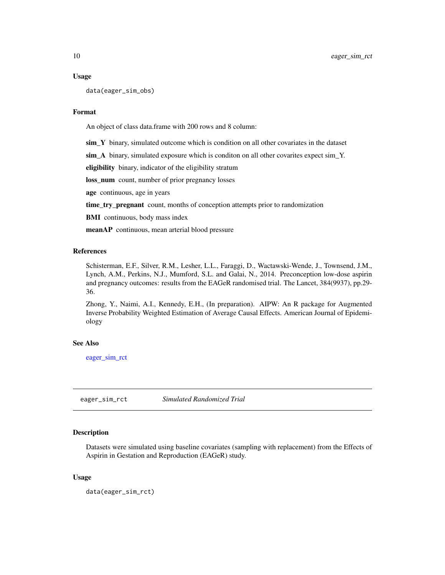#### <span id="page-9-0"></span>Usage

data(eager\_sim\_obs)

#### Format

An object of class data.frame with 200 rows and 8 column:

sim<sub>\_</sub>Y binary, simulated outcome which is condition on all other covariates in the dataset

 $\sin A$  binary, simulated exposure which is condition on all other covarites expect sim\_Y.

eligibility binary, indicator of the eligibility stratum

loss\_num count, number of prior pregnancy losses

age continuous, age in years

time\_try\_pregnant count, months of conception attempts prior to randomization

BMI continuous, body mass index

meanAP continuous, mean arterial blood pressure

#### References

Schisterman, E.F., Silver, R.M., Lesher, L.L., Faraggi, D., Wactawski-Wende, J., Townsend, J.M., Lynch, A.M., Perkins, N.J., Mumford, S.L. and Galai, N., 2014. Preconception low-dose aspirin and pregnancy outcomes: results from the EAGeR randomised trial. The Lancet, 384(9937), pp.29- 36.

Zhong, Y., Naimi, A.I., Kennedy, E.H., (In preparation). AIPW: An R package for Augmented Inverse Probability Weighted Estimation of Average Causal Effects. American Journal of Epidemiology

#### See Also

[eager\\_sim\\_rct](#page-9-1)

<span id="page-9-1"></span>eager\_sim\_rct *Simulated Randomized Trial*

#### Description

Datasets were simulated using baseline covariates (sampling with replacement) from the Effects of Aspirin in Gestation and Reproduction (EAGeR) study.

#### Usage

data(eager\_sim\_rct)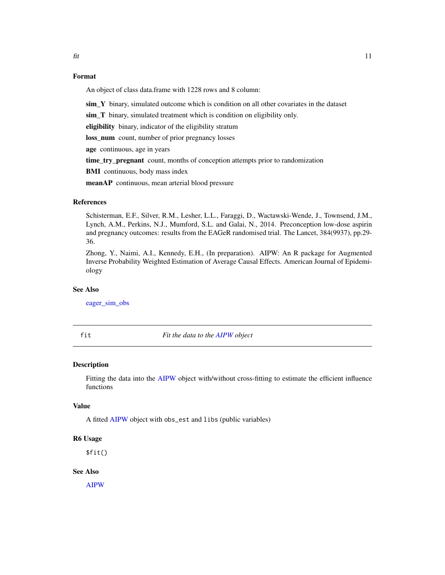#### <span id="page-10-0"></span>Format

An object of class data.frame with 1228 rows and 8 column:

sim\_Y binary, simulated outcome which is condition on all other covariates in the dataset

sim\_T binary, simulated treatment which is condition on eligibility only.

eligibility binary, indicator of the eligibility stratum

loss\_num count, number of prior pregnancy losses

age continuous, age in years

time try pregnant count, months of conception attempts prior to randomization

BMI continuous, body mass index

meanAP continuous, mean arterial blood pressure

#### **References**

Schisterman, E.F., Silver, R.M., Lesher, L.L., Faraggi, D., Wactawski-Wende, J., Townsend, J.M., Lynch, A.M., Perkins, N.J., Mumford, S.L. and Galai, N., 2014. Preconception low-dose aspirin and pregnancy outcomes: results from the EAGeR randomised trial. The Lancet, 384(9937), pp.29- 36.

Zhong, Y., Naimi, A.I., Kennedy, E.H., (In preparation). AIPW: An R package for Augmented Inverse Probability Weighted Estimation of Average Causal Effects. American Journal of Epidemiology

#### See Also

[eager\\_sim\\_obs](#page-8-1)

fit *Fit the data to the [AIPW](#page-1-1) object*

#### <span id="page-10-1"></span>**Description**

Fitting the data into the [AIPW](#page-1-1) object with/without cross-fitting to estimate the efficient influence functions

#### Value

A fitted [AIPW](#page-1-1) object with obs\_est and libs (public variables)

#### R6 Usage

\$fit()

#### See Also

[AIPW](#page-1-1)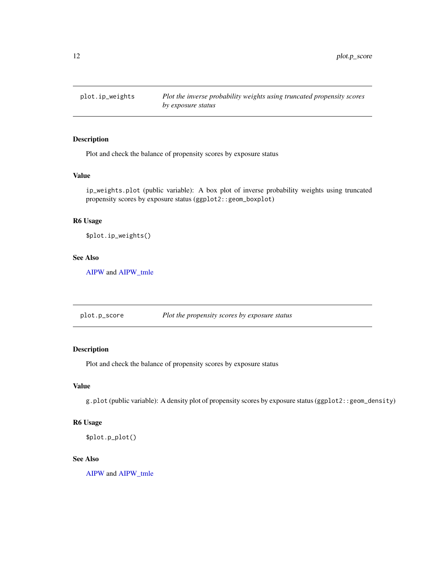<span id="page-11-2"></span><span id="page-11-0"></span>

#### Description

Plot and check the balance of propensity scores by exposure status

#### Value

ip\_weights.plot (public variable): A box plot of inverse probability weights using truncated propensity scores by exposure status (ggplot2::geom\_boxplot)

#### R6 Usage

\$plot.ip\_weights()

#### See Also

[AIPW](#page-1-1) and [AIPW\\_tmle](#page-5-1)

<span id="page-11-1"></span>

| plot.p_score | Plot the propensity scores by exposure status |
|--------------|-----------------------------------------------|
|--------------|-----------------------------------------------|

#### Description

Plot and check the balance of propensity scores by exposure status

#### Value

g.plot (public variable): A density plot of propensity scores by exposure status (ggplot2::geom\_density)

#### R6 Usage

\$plot.p\_plot()

#### See Also

[AIPW](#page-1-1) and [AIPW\\_tmle](#page-5-1)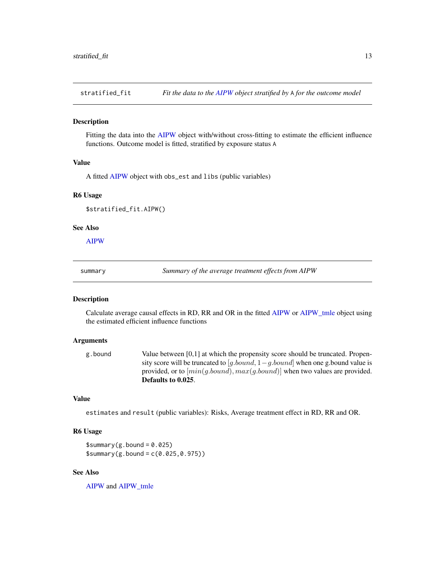<span id="page-12-0"></span>

#### <span id="page-12-1"></span>Description

Fitting the data into the [AIPW](#page-1-1) object with/without cross-fitting to estimate the efficient influence functions. Outcome model is fitted, stratified by exposure status A

#### Value

A fitted [AIPW](#page-1-1) object with obs\_est and libs (public variables)

#### R6 Usage

\$stratified\_fit.AIPW()

#### See Also

[AIPW](#page-1-1)

summary *Summary of the average treatment effects from AIPW*

#### <span id="page-12-2"></span>Description

Calculate average causal effects in RD, RR and OR in the fitted [AIPW](#page-1-1) or [AIPW\\_tmle](#page-5-1) object using the estimated efficient influence functions

#### Arguments

```
g.bound Value between [0,1] at which the propensity score should be truncated. Propen-
                  sity score will be truncated to [g.bound, 1-g.bound] when one g.bound value is
                  provided, or to [min(g.bound), max(g.bound)] when two values are provided.
                 Defaults to 0.025.
```
#### Value

estimates and result (public variables): Risks, Average treatment effect in RD, RR and OR.

#### R6 Usage

 $$summary(g.bound = 0.025)$  $$summary(g.bound = c(0.025, 0.975))$ 

#### See Also

[AIPW](#page-1-1) and [AIPW\\_tmle](#page-5-1)